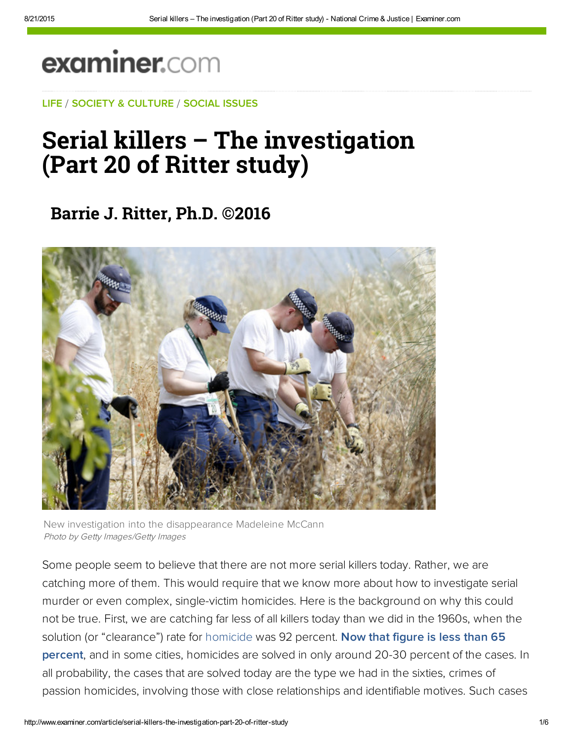## examiner.com

[LIFE](https://disqus.com/by/jackritter/) / [SOCIETY & C](http://web.adblade.com/clicks.php?appId=10176&zid=55d22321182e6&adId=234251&pos=1&impt=1440185385&zoneId=797&algid=4&reqid=53d46f405ef9a0bd&ord=1440185385&url=http%3A%2F%2Fwww.examiner.com%2Farticle%2Fserial-killers-the-investigation-part-20-of-ritter-study)[ULTURE](http://www.examiner.com/society-and-culture) / [SOCIAL ISSU](http://web.adblade.com/clicks.php?appId=10176&zid=55d22abc49c21&adId=234283&pos=2&impt=1440185385&zoneId=797&algid=4&reqid=53d46f405ef9a0bd&ord=1440185385&url=http%3A%2F%2Fwww.examiner.com%2Farticle%2Fserial-killers-the-investigation-part-20-of-ritter-study)[ES](http://www.examiner.com/social-issues)

## [Serial](http://web.adblade.com/clicks.php?appId=10176&zid=55d22321182e6&adId=234251&pos=1&impt=1440185385&zoneId=797&algid=4&reqid=53d46f405ef9a0bd&ord=1440185385&url=http%3A%2F%2Fwww.examiner.com%2Farticle%2Fserial-killers-the-investigation-part-20-of-ritter-study) ki[llers – T](http://web.adblade.com/clicks.php?appId=10176&zid=55d22abc49c21&adId=234283&pos=2&impt=1440185385&zoneId=797&algid=4&reqid=53d46f405ef9a0bd&ord=1440185385&url=http%3A%2F%2Fwww.examiner.com%2Farticle%2Fserial-killers-the-investigation-part-20-of-ritter-study)he investigation (Part 20 of Ritter study)

**[Barrie J. Ri](http://web.adblade.com/clicks.php?appId=10176&zid=55c4f10c4509c&adId=230796&pos=3&impt=1440185385&zoneId=797&algid=4&reqid=53d46f405ef9a0bd&ord=1440185385&url=http%3A%2F%2Fwww.examiner.com%2Farticle%2Fserial-killers-the-investigation-part-20-of-ritter-study)[tter, Ph.D. ©20](http://web.adblade.com/clicks.php?appId=10176&zid=55cc3969e096f&adId=232677&pos=4&impt=1440185385&zoneId=797&algid=4&reqid=53d46f405ef9a0bd&ord=1440185385&url=http%3A%2F%2Fwww.examiner.com%2Farticle%2Fserial-killers-the-investigation-part-20-of-ritter-study)16**



New investigation into the disappearance Madeleine McCann Photo by Getty Images/Getty Images

Some people seem to believe that there are not more serial killers today. Rather, we are catching more of them. This would require that we know more about how to investigate serial murder or even complex, single-victim homicides. Here is the background on why this could not be true. First, we are catching far less of all killers today than we did in the 1960s, when the solution (or "clearance") rate for [homicide](http://www.examiner.com/topic/homicide) was 92 percent. Now that figure is less than 65 [percent, and in some cities, homicides are solved in only around 20-30 percent of the case](http://bit.ly/1CWpW2Y)s. In all probability, the cases that are solved today are the type we had in the sixties, crimes of passion homicides, involving those with close relationships and identifiable motives. Such cases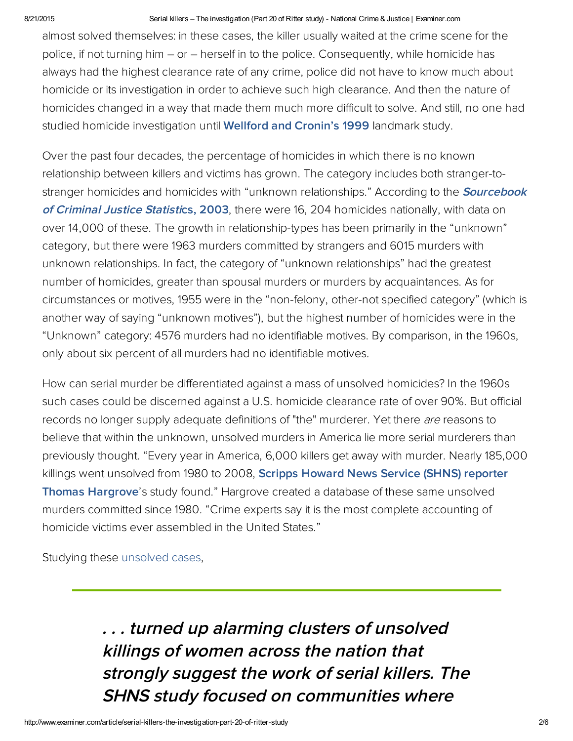## 8/21/2015 Serial killers – The investigation (Part 20 of Ritter study) National Crime & Justice | Examiner.com

almost solved themselves: in these cases, the killer usually waited at the crime scene for the police, if not turning him – or – herself in to the police. Consequently, while homicide has always had the highest clearance rate of any crime, police did not have to know much about homicide or its investigation in order to achieve such high clearance. And then the nature of homicides changed in a way that made them much more difficult to solve. And still, no one had studied homicide investigation until **[Wellford](http://bit.ly/1CWpW2Y) and Cronin's 1999** landmark study.

Over the past four decades, the percentage of homicides in which there is no known relationship between killers and victims has grown. The category includes both stranger-tostranger homicides and homicides with "unknown [relationships."](http://bit.ly/1wjemNM) According to the **Sourcebook** of Criminal Justice Statistics, [2003](http://bit.ly/1wjemNM), there were 16, 204 homicides nationally, with data on over 14,000 of these. The growth in relationship-types has been primarily in the "unknown" category, but there were 1963 murders committed by strangers and 6015 murders with unknown relationships. In fact, the category of "unknown relationships" had the greatest number of homicides, greater than spousal murders or murders by acquaintances. As for circumstances or motives, 1955 were in the "non-felony, other-not specified category" (which is another way of saying "unknown motives"), but the highest number of homicides were in the "Unknown" category: 4576 murders had no identifiable motives. By comparison, in the 1960s, only about six percent of all murders had no identifiable motives.

How can serial murder be differentiated against a mass of unsolved homicides? In the 1960s such cases could be discerned against a U.S. homicide clearance rate of over 90%. But official records no longer supply adequate definitions of "the" murderer. Yet there are reasons to b[elieve](http://pubnation.com/) that within the unknown, unsolved murders in America lie more serial murderers than previously thought. "Every year in America, 6,000 killers get away with murder. Nearly 185,000 killings went unsolved from 1980 to 2008, Scripps Howard News Service (SHNS) reporter Thomas [Hargrove's](http://bit.ly/16NxxBM) study found." Hargrove created a database of these same unsolved murders committed since 1980. "Crime experts say it is the most complete accounting of homicide victims ever assembled in the United States."

Studying these [unsolved](http://www.examiner.com/topic/unsolved-cases) cases,

. . . turned up [alarming](http://www.examiner.com/article/downhearted-shelter-dog-no-longer-faces-visitors-passing-by-to-adopt?cid=yahoo-recommends-inbound) clusters of unsolved killings of women across the nation that [strong](http://www.examiner.com/article/inheritances-send-tony-curtis-and-lucille-ball-s-children-into-tailspin?cid=yahoo-recommends-inbound)ly suggest the work of serial killers. The SHNS study focused on [communities](https://beap.gemini.yahoo.com/mbclk?bv=1.0.0&es=u.aG5DEGIS.MGtvPd4xR5t45iIG99AQkMGbKEYXCXZd5gGLQbwcGB0rbmzaRi8BPlNLMgxvKF8SapddiMkcGQ9X94GNcSXVOUv7tKg1gEJX3EXustQFHA1sm1uj1_2tmZ9lbuCbxOTYnHpa5v8dWNj2TjR285oEtQ4V_WiyFfhnVYE6A29dGxOWpKUxH.ad5tU0YaJV87q4k21EnWaEX0us9ooAIvGFoSDNHbrvRV6DzvkV3KrBtF4nI_0lz4YW37dvSgW_OAUZKTezJjyHjp58._ZgjYF5TA2Xe9a1YJXQZFpBC3jGGc2033.PgQZHD3QE.EwgpjFpAl4dUHWUv.W3xzE67Y__e86oPz.eL3aHmSeDWZHb7XGi8fVC79ZV9RQLTH9P.Wnhz1aUp4Aj4408z1PqlrMMrpkKU7ZzNINxcZZtJG.sdc9qL40xuSMN4.laLq16UHbVkL4CVk_cFUo3nOUrC6Tvp2WWA1GPZ1mk5WuFmHdo-%26lp=) w[here](https://beap.gemini.yahoo.com/mbclk?bv=1.0.0&es=shjcpF8GIS..q2Hq5wi6YxClPeILvfU89KsUnwmwRMieOSS5UDfEDTiNOQ9eSkGsbTf0GM.aUMsWRcPWJBD3A0pqTCzbW9V5uTXEYhsWUrcNlruD4f7Gn5IUUi.G0f40sAW_dgyLq4S0c4_CS3bSaFZJGIshjzFIWOj.RsEATPxN1BdOIWeJWXCV7TQwwl_fwYm_nANsLjcVTRZJQ9bwdK59Y59RZWhDwvHsRzHSx49WStIyYyRJntox7eCKuFnSd1EkHKWyb_flOyhEE8nz7_L7G9kn8qUZgnrLLfM31GtObGb3APz7LTQ7MUiDWwYf72Sw42MOuGqW.OYM_WmqRL7dENnECyfvqIqHMX5XMEofqgL2kOedOqpCOTnAxeQgNNYMwDpFxhuq8xHbH2af7Midx8L3EPcj.EvVVWKen_.XfN6CaNVTocoNC3zaSCGy4uR17QzetJVF9K51CcYDBluTcAzIHNM8EEBTmEIwvkZ.ceW1VTonq6KRShbUwiDvqMWyYavLL0nqP6TNfuaIGaX266faZGAzfJ4-%26lp=)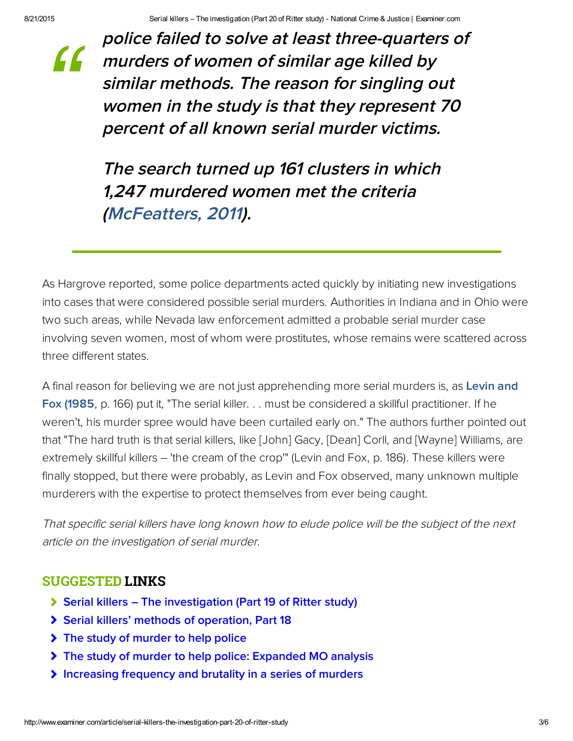*["](http://www.examiner.com/article/inheritances-send-tony-curtis-and-lucille-ball-s-children-into-tailspin?cid=yahoo-recommends-inbound)*

police f[ailed to solve a](http://www.examiner.com/article/downhearted-shelter-dog-no-longer-faces-visitors-passing-by-to-adopt?cid=yahoo-recommends-inbound)t l[east three-q](https://beap.gemini.yahoo.com/mbclk?bv=1.0.0&es=u.aG5DEGIS.MGtvPd4xR5t45iIG99AQkMGbKEYXCXZd5gGLQbwcGB0rbmzaRi8BPlNLMgxvKF8SapddiMkcGQ9X94GNcSXVOUv7tKg1gEJX3EXustQFHA1sm1uj1_2tmZ9lbuCbxOTYnHpa5v8dWNj2TjR285oEtQ4V_WiyFfhnVYE6A29dGxOWpKUxH.ad5tU0YaJV87q4k21EnWaEX0us9ooAIvGFoSDNHbrvRV6DzvkV3KrBtF4nI_0lz4YW37dvSgW_OAUZKTezJjyHjp58._ZgjYF5TA2Xe9a1YJXQZFpBC3jGGc2033.PgQZHD3QE.EwgpjFpAl4dUHWUv.W3xzE67Y__e86oPz.eL3aHmSeDWZHb7XGi8fVC79ZV9RQLTH9P.Wnhz1aUp4Aj4408z1PqlrMMrpkKU7ZzNINxcZZtJG.sdc9qL40xuSMN4.laLq16UHbVkL4CVk_cFUo3nOUrC6Tvp2WWA1GPZ1mk5WuFmHdo-%26lp=)uar[ters of](https://beap.gemini.yahoo.com/mbclk?bv=1.0.0&es=shjcpF8GIS..q2Hq5wi6YxClPeILvfU89KsUnwmwRMieOSS5UDfEDTiNOQ9eSkGsbTf0GM.aUMsWRcPWJBD3A0pqTCzbW9V5uTXEYhsWUrcNlruD4f7Gn5IUUi.G0f40sAW_dgyLq4S0c4_CS3bSaFZJGIshjzFIWOj.RsEATPxN1BdOIWeJWXCV7TQwwl_fwYm_nANsLjcVTRZJQ9bwdK59Y59RZWhDwvHsRzHSx49WStIyYyRJntox7eCKuFnSd1EkHKWyb_flOyhEE8nz7_L7G9kn8qUZgnrLLfM31GtObGb3APz7LTQ7MUiDWwYf72Sw42MOuGqW.OYM_WmqRL7dENnECyfvqIqHMX5XMEofqgL2kOedOqpCOTnAxeQgNNYMwDpFxhuq8xHbH2af7Midx8L3EPcj.EvVVWKen_.XfN6CaNVTocoNC3zaSCGy4uR17QzetJVF9K51CcYDBluTcAzIHNM8EEBTmEIwvkZ.ceW1VTonq6KRShbUwiDvqMWyYavLL0nqP6TNfuaIGaX266faZGAzfJ4-%26lp=) murders of women of similar age killed by similar methods. The re[ason for](http://info.yahoo.com/privacy/us/yahoo/relevantads.html) singling [out](http://info.yahoo.com/privacy/us/yahoo/relevantads.html) women in the study is that they represent 70 percent [of all known se](http://www.examiner.com/article/duggar-divorce-won-t-come-easy-jill-and-derick-dillard-have-covenant-marriage?cid=yahoo-recommends-inbound)[rial murder vict](https://beap.gemini.yahoo.com/mbclk?bv=1.0.0&es=_r1hO1UGIS.lubMXzChlfvnnSrEWhr60oW44oRKPY3pf7MBMn7XN6Aa8HfwMd75mnZTTph7aRhflcLyoQ1iRX4PwJQauA1efLDLRNReCcllRC0u7_W4QzfP97oWUQU0ngjNjE08ayv.IAN.SgR18gTFwhMO_AWB3OE2gtul5gc6G3mvuLCUJrZ.P_6dc.5d.G.7DGWhrtW4ZQEELSwZPwEvlgoRGS7i_DoQmI8VOKxjKnryN5KeQqJggz6FJkDvAvJHLDx4z20pngwjAhuNuzrZjfbpBmFOaYaXs4f0EHdyMLcJqiZiBqYsQdx1jitOo8di_07tYtFfONuzQN6W9FEBwrvBk_35jhwqIZU5oCGf73qZjR0.5Z3lMUYViJ_SDZrzoPiCk8YZKwIUzfaB82dbUQc6CMN3ju1xyatQwpqxPFcNhlW.8fVhkAaLIPzkkQqP2pAZ8s6OSl0xYhDLclYPXRs22CrBmRAFAJMtnFTCMQyUQlrnp%26lp=)ims.

The search turned up 161 clusters in wh[ich](https://beap.gemini.yahoo.com/mbclk?bv=1.0.0&es=gN_CWu4GIS8qzoMtLAB0qonAK614R2M.3IYu6ADmDd9RfMze619Ka8yJBztOmJlmpU15N_cPa0OjwtJ7mowfdJhSBKIu6XfNeX5MEMH7sbvGd9s.6jwzRoCFq.2.CgjGSIeKAutA59NzUGSp1g._0WXzV5XTaHTB7zecC.4jNi8PjamHBoJX6d5KmGDv4i1r2uAuU2mmlbC95zYJEaI5rSU_wYbcDGrbYTplqsAbq2WTVlTKAfNDYjWolMp1DnvJIvGLJwlXDeYtEiz6V6ov2fOjZ0Z0ZpFwOkrFPq3nWXX7Upu2Y9U1EdMtCeT1DoQx8XRblbHsVRH7PwGrmboZyZ.VfmMMj5HuXVbSO4H9XcR.HQiKvAbcHNL2RoWnMKmFNcjQYmOQmo0X.KIdDtFYkbBkMThIoYLpufcqIO9lQh.zWVoqUGNgogtrIJn4oNXAufmysJ0gK423SFJivitLhDz782HNLHmmf._S66B8_vvPEV_wt1AEaeQUixQDufD1o9viM5jygnUyOOSUlbNKmqcs3f9DnXiDcFN9alN1vhP5h0crXBjSI.mcC6qmd_SwWpfTQEzh_5O6NqzYat.rJCsXOysZ_Ss-%26lp=) 1,247 murdered women met the criteria [\(McFeatters, 2011\)](http://bit.ly/1qoQYvT).

[As Hargrove reported,](http://www.examiner.com/article/joel-osteen-s-church-theft-opens-can-of-worms-jaws-drop-as-folks-do-the-math?cid=yahoo-recommends-inbound) s[ome police departmen](http://www.examiner.com/article/duggar-divorce-won-t-come-easy-jill-and-derick-dillard-have-covenant-marriage?cid=yahoo-recommends-inbound)ts acted quickly by initiating new investigations into cases that were considered possible serial mu[rders. Auth](http://info.yahoo.com/privacy/us/yahoo/relevantads.html)orities in India[na and in O](http://info.yahoo.com/privacy/us/yahoo/relevantads.html)hio were [two such areas, while Nevada law enforcement admitted a probable serial murder case](https://yahoo.com/) involving seven women, most of whom were prostitutes, whose remains were scattered across three different states.

[A final reason for believing we are not just apprehending more serial murders is, as Levin and](http://bit.ly/1oyVhPs) Fox (1985, p. 166) put it, "The serial killer. . . must be considered a skillful practitioner. If he weren't, his murder spree would have been curtailed early on." The authors further pointed out that "The hard truth is that serial killers, like [John] Gacy, [Dean] Corll, and [Wayne] Williams, are extremely skillful killers – 'the cream of the crop'" (Levin and Fox, p. 186). These killers were finally stopped, but there were probably, as Levin and Fox observed, many unknown multiple murderers with the expertise to protect themselves from ever being caught.

That specific serial killers have long known how to elude police will be the subject of the next article on the investigation of serial murder.

## SUGGESTED LINKS

- $\triangleright$  [Serial killers The investigation \(Part 19 of Ritter study\)](http://www.ritterhomicideresearch.com/articles/Part-19.pdf)
- [Serial killers' methods of operation, Part 18](http://www.ritterhomicideresearch.com/articles/Part-18.pdf)
- > [The study of murder to help police](http://www.ritterhomicideresearch.com/articles/The-study-of-murder-to-help-police.pdf)
- [The study of murder to help police: Expanded MO analysis](http://www.ritterhomicideresearch.com/articles/the-study-of-murder-to-help-police-expanded-mo-analysis.pdf)
- [Increasing frequency and brutality in a series of murders](http://www.ritterhomicideresearch.com/articles/increasing-frequency-and-brutality-a-series-of-murders.pdf)